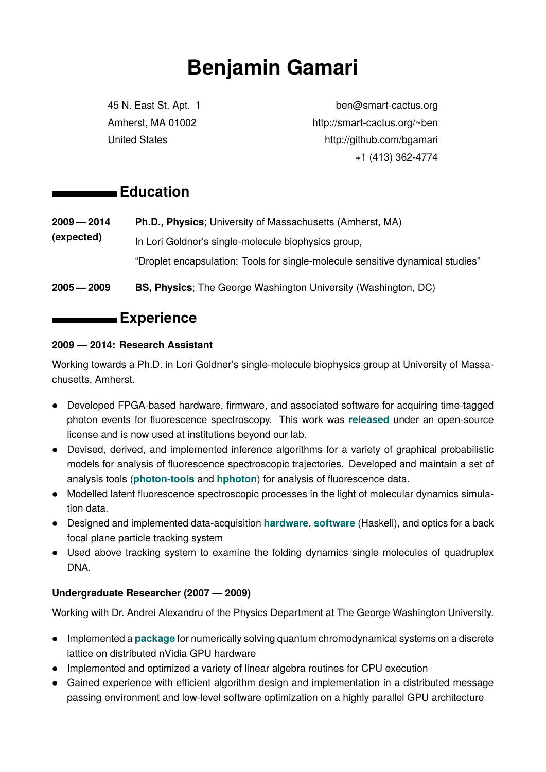# **Benjamin Gamari**

45 N. East St. Apt. 1 ben@smart-cactus.org Amherst, MA 01002 http://smart-cactus.org/~ben United States http://github.com/bgamari +1 (413) 362-4774

## **Education**

- **2009 2014 (expected) Ph.D., Physics**; University of Massachusetts (Amherst, MA) In Lori Goldner's single-molecule biophysics group, "Droplet encapsulation: Tools for single-molecule sensitive dynamical studies"
- **2005 2009 BS, Physics**; The George Washington University (Washington, DC)

### **Experience**

#### **2009 — 2014: Research Assistant**

Working towards a Ph.D. in Lori Goldner's single-molecule biophysics group at University of Massachusetts, Amherst.

- Developed FPGA-based hardware, firmware, and associated software for acquiring time-tagged photon events for fluorescence spectroscopy. This work was **[released](https://goldnerlab.physics.umass.edu/wiki/FpgaTimeTagger)** under an open-source license and is now used at institutions beyond our lab.
- Devised, derived, and implemented inference algorithms for a variety of graphical probabilistic models for analysis of fluorescence spectroscopic trajectories. Developed and maintain a set of analysis tools (**[photon-tools](http://github.com/bgamari/photon-tools)** and **[hphoton](http://github.com/bgamari/hphoton)**) for analysis of fluorescence data.
- Modelled latent fluorescence spectroscopic processes in the light of molecular dynamics simulation data.
- Designed and implemented data-acquisition **[hardware](https://github.com/bgamari/udaq)**, **[software](https://github.com/bgamari/tracker-host)** (Haskell), and optics for a back focal plane particle tracking system
- Used above tracking system to examine the folding dynamics single molecules of quadruplex DNA.

#### **Undergraduate Researcher (2007 — 2009)**

Working with Dr. Andrei Alexandru of the Physics Department at The George Washington University.

- Implemented a **[package](http://www.sciencedirect.com/science/article/pii/S0021999111006450)** for numerically solving quantum chromodynamical systems on a discrete lattice on distributed nVidia GPU hardware
- Implemented and optimized a variety of linear algebra routines for CPU execution
- Gained experience with efficient algorithm design and implementation in a distributed message passing environment and low-level software optimization on a highly parallel GPU architecture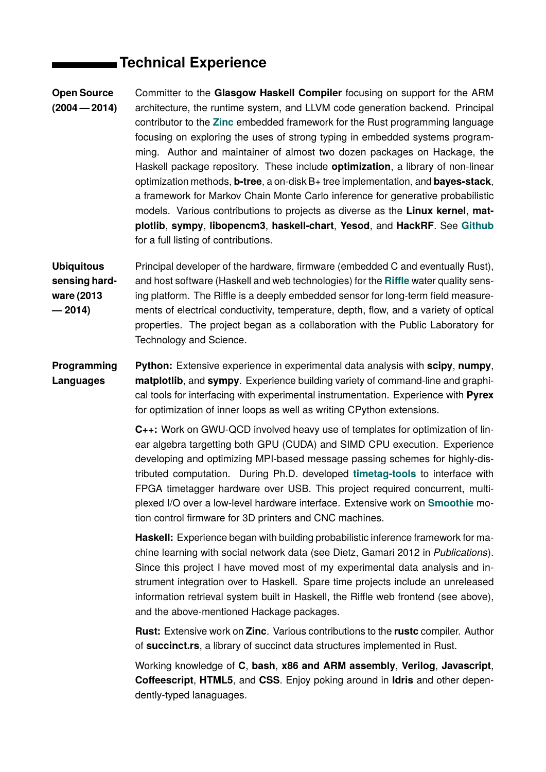# **Technical Experience**

**Open Source (2004 — 2014)** Committer to the **Glasgow Haskell Compiler** focusing on support for the ARM architecture, the runtime system, and LLVM code generation backend. Principal contributor to the **[Zinc](http://www.zinc.rs/)** embedded framework for the Rust programming language focusing on exploring the uses of strong typing in embedded systems programming. Author and maintainer of almost two dozen packages on Hackage, the Haskell package repository. These include **optimization**, a library of non-linear optimization methods, **b-tree**, a on-disk B+ tree implementation, and **bayes-stack**, a framework for Markov Chain Monte Carlo inference for generative probabilistic models. Various contributions to projects as diverse as the **Linux kernel**, **matplotlib**, **sympy**, **libopencm3**, **haskell-chart**, **Yesod**, and **HackRF**. See **[Github](http://github.com/bgamari)** for a full listing of contributions.

**Ubiquitous sensing hardware (2013 — 2014)** Principal developer of the hardware, firmware (embedded C and eventually Rust), and host software (Haskell and web technologies) for the **[Riffle](http://www.github.com/bgamari/riffle)** water quality sensing platform. The Riffle is a deeply embedded sensor for long-term field measurements of electrical conductivity, temperature, depth, flow, and a variety of optical properties. The project began as a collaboration with the Public Laboratory for Technology and Science.

**Programming Languages Python:** Extensive experience in experimental data analysis with **scipy**, **numpy**, **matplotlib**, and **sympy**. Experience building variety of command-line and graphical tools for interfacing with experimental instrumentation. Experience with **Pyrex** for optimization of inner loops as well as writing CPython extensions.

> **C++:** Work on GWU-QCD involved heavy use of templates for optimization of linear algebra targetting both GPU (CUDA) and SIMD CPU execution. Experience developing and optimizing MPI-based message passing schemes for highly-distributed computation. During Ph.D. developed **[timetag-tools](http://github.com/bgamari/timetag-tools)** to interface with FPGA timetagger hardware over USB. This project required concurrent, multiplexed I/O over a low-level hardware interface. Extensive work on **[Smoothie](https://github.com/Smoothieware/Smoothieware)** motion control firmware for 3D printers and CNC machines.

> **Haskell:** Experience began with building probabilistic inference framework for machine learning with social network data (see Dietz, Gamari 2012 in *Publications*). Since this project I have moved most of my experimental data analysis and instrument integration over to Haskell. Spare time projects include an unreleased information retrieval system built in Haskell, the Riffle web frontend (see above), and the above-mentioned Hackage packages.

> **Rust:** Extensive work on **Zinc**. Various contributions to the **rustc** compiler. Author of **succinct.rs**, a library of succinct data structures implemented in Rust.

> Working knowledge of **C**, **bash**, **x86 and ARM assembly**, **Verilog**, **Javascript**, **Coffeescript**, **HTML5**, and **CSS**. Enjoy poking around in **Idris** and other dependently-typed lanaguages.